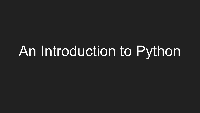# An Introduction to Python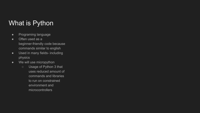### What is Python

- Programing language
- Often used as a beginner-friendly code because commands similar to english
- Used in many fields- including physics
- We will use micropython
	- Usage of Python 3 that uses reduced amount of commands and libraries to run on constrained environment and microcontrollers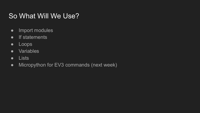## So What Will We Use?

- Import modules
- If statements
- Loops
- Variables
- Lists
- Micropython for EV3 commands (next week)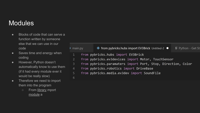#### **Modules**

- Blocks of code that can serve a function written by someone else that we can use in our code
- Saves time and energy when coding
- However, Python doesn't automatically know to use them (if it had every module ever it would be really slow)
- Therefore we need to import them into the program
	- o From library mport module a

| main.py        |  | $\bullet$ from pybricks.hubs import EV3Brick Untitled-2 $\bullet$ | $\equiv$ Python - Get Sta |
|----------------|--|-------------------------------------------------------------------|---------------------------|
|                |  | from pybricks.hubs import EV3Brick                                |                           |
| $\overline{2}$ |  | from pybricks.ev3devices import Motor, TouchSensor                |                           |
| 3              |  | from pybricks.paramaters import Port, Stop, Direction, Color      |                           |
| 4              |  | from pybricks.robotics import DriveBase                           |                           |
| $5^{\circ}$    |  | from pybricks.media.ev3dev import SoundFile                       |                           |
| 6              |  |                                                                   |                           |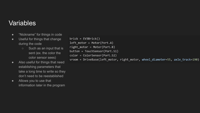#### Variables

- "Nickname" for things in code
- Useful for things that change during the code
	- Such as an input that is sent (ex. the color the color sensor sees)
- Also useful for things that need establishing parameters that take a long time to write so they don't need to be reestablished
- Allows you to use that information later in the program

 $brick = EV3Brick()$  $left_motor = Motor(Port.A)$ right\_motor = Motor(Port.B) button = TouchSensor(Port.S1)  $color = ColorSensor(Port.S2)$ vroom = DriveBase(left\_motor, right\_motor, wheel\_diameter=55, axle\_track=190)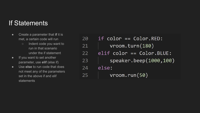#### If Statements

- Create a parameter that **if** it is met, a certain code will run
	- Indent code you want to run in that scenario under the if statement
- If you want to set another parameter, use **elif** (else if)
- Use **else** to run code that does not meet any of the parameters set in the above if and elif **statements**

20 if  $color == Color.RED:$  $vroom.turn(180)$ 21  $elif$  color ==  $Color.BLUE:$ 22 23 speaker.beep(1000,100) 24 else: 25  $vroom.run(50)$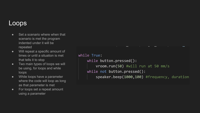#### Loops

- Set a scenario where when that scenario is met the program indented under it will be repeated
- Will repeat a specific amount of times or until a situation is met that tells it to stop
- Two main types of loops we will be using, for loops and while loops
- While loops have a parameter where the code will loop as long as that parameter is met
- For loops set a repeat amount using a parameter

```
while True:
    while button.pressed():
        vroom.run(50) #will run at 50 mm/s
    while not button.pressed():
        speaker.beep(1000,100) #frequency, duration
```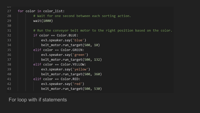43

#### for color in color list:

# Wait for one second between each sorting action. wait(1000)

```
# Run the conveyor belt motor to the right position based on the color.
if color == Color.BLUE:ev3.speaker.say('blue')
   belt motor.run target(500, 10)
elif color == Color.GREEN:
    ev3.speaker.say('green')
    belt motor.run target(500, 132)
elif color == Color.YELLOW:
    ev3.speaker.say('yellow')
   belt motor.run target(500, 360)
elif color == Color.RED:
    ev3.speaker.say('red')
   belt motor.run target(500, 530)
```
#### For loop with if statements